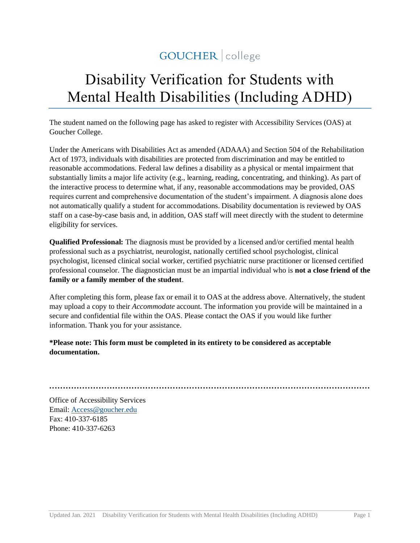## GOUCHER | college

# Disability Verification for Students with Mental Health Disabilities (Including ADHD)

The student named on the following page has asked to register with Accessibility Services (OAS) at Goucher College.

Under the Americans with Disabilities Act as amended (ADAAA) and Section 504 of the Rehabilitation Act of 1973, individuals with disabilities are protected from discrimination and may be entitled to reasonable accommodations. Federal law defines a disability as a physical or mental impairment that substantially limits a major life activity (e.g., learning, reading, concentrating, and thinking). As part of the interactive process to determine what, if any, reasonable accommodations may be provided, OAS requires current and comprehensive documentation of the student's impairment. A diagnosis alone does not automatically qualify a student for accommodations. Disability documentation is reviewed by OAS staff on a case-by-case basis and, in addition, OAS staff will meet directly with the student to determine eligibility for services.

**Qualified Professional:** The diagnosis must be provided by a licensed and/or certified mental health professional such as a psychiatrist, neurologist, nationally certified school psychologist, clinical psychologist, licensed clinical social worker, certified psychiatric nurse practitioner or licensed certified professional counselor. The diagnostician must be an impartial individual who is **not a close friend of the family or a family member of the student**.

After completing this form, please fax or email it to OAS at the address above. Alternatively, the student may upload a copy to their *Accommodate* account. The information you provide will be maintained in a secure and confidential file within the OAS. Please contact the OAS if you would like further information. Thank you for your assistance.

**\*Please note: This form must be completed in its entirety to be considered as acceptable documentation.** 

**·····················································································································**

Office of Accessibility Services Email: [Access@goucher.edu](mailto:Access@goucher.edu) Fax: 410-337-6185 Phone: 410-337-6263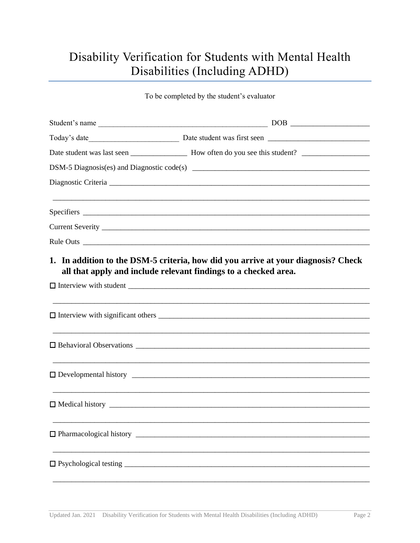## Disability Verification for Students with Mental Health Disabilities (Including ADHD)

To be completed by the student's evaluator

| all that apply and include relevant findings to a checked area. | 1. In addition to the DSM-5 criteria, how did you arrive at your diagnosis? Check |
|-----------------------------------------------------------------|-----------------------------------------------------------------------------------|
|                                                                 |                                                                                   |
|                                                                 |                                                                                   |
|                                                                 |                                                                                   |
|                                                                 |                                                                                   |
|                                                                 |                                                                                   |
|                                                                 |                                                                                   |
|                                                                 |                                                                                   |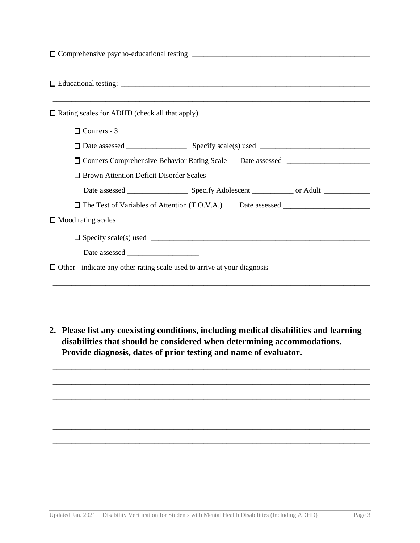|                                                                                 | ,我们的人们就会在这里的人们,我们的人们就会在这里的人们,我们也不会在这里的人们,我们也不会在这里的人们,我们也不会在这里的人们,我们也不会在这里的人们,我们也                                                                                                                                                     |
|---------------------------------------------------------------------------------|--------------------------------------------------------------------------------------------------------------------------------------------------------------------------------------------------------------------------------------|
| $\Box$ Rating scales for ADHD (check all that apply)                            |                                                                                                                                                                                                                                      |
| $\Box$ Conners - 3                                                              |                                                                                                                                                                                                                                      |
|                                                                                 |                                                                                                                                                                                                                                      |
|                                                                                 |                                                                                                                                                                                                                                      |
| <b>I</b> Brown Attention Deficit Disorder Scales                                |                                                                                                                                                                                                                                      |
|                                                                                 |                                                                                                                                                                                                                                      |
|                                                                                 |                                                                                                                                                                                                                                      |
| $\Box$ Mood rating scales                                                       |                                                                                                                                                                                                                                      |
|                                                                                 |                                                                                                                                                                                                                                      |
|                                                                                 |                                                                                                                                                                                                                                      |
| $\Box$ Other - indicate any other rating scale used to arrive at your diagnosis |                                                                                                                                                                                                                                      |
|                                                                                 |                                                                                                                                                                                                                                      |
|                                                                                 |                                                                                                                                                                                                                                      |
|                                                                                 |                                                                                                                                                                                                                                      |
|                                                                                 | 2. Please list any coexisting conditions, including medical disabilities and learning<br>disabilities that should be considered when determining accommodations.<br>Provide diagnosis, dates of prior testing and name of evaluator. |
|                                                                                 |                                                                                                                                                                                                                                      |
|                                                                                 |                                                                                                                                                                                                                                      |
|                                                                                 |                                                                                                                                                                                                                                      |
|                                                                                 |                                                                                                                                                                                                                                      |
|                                                                                 |                                                                                                                                                                                                                                      |

\_\_\_\_\_\_\_\_\_\_\_\_\_\_\_\_\_\_\_\_\_\_\_\_\_\_\_\_\_\_\_\_\_\_\_\_\_\_\_\_\_\_\_\_\_\_\_\_\_\_\_\_\_\_\_\_\_\_\_\_\_\_\_\_\_\_\_\_\_\_\_\_\_\_\_\_\_\_\_\_\_\_\_\_

\_\_\_\_\_\_\_\_\_\_\_\_\_\_\_\_\_\_\_\_\_\_\_\_\_\_\_\_\_\_\_\_\_\_\_\_\_\_\_\_\_\_\_\_\_\_\_\_\_\_\_\_\_\_\_\_\_\_\_\_\_\_\_\_\_\_\_\_\_\_\_\_\_\_\_\_\_\_\_\_\_\_\_\_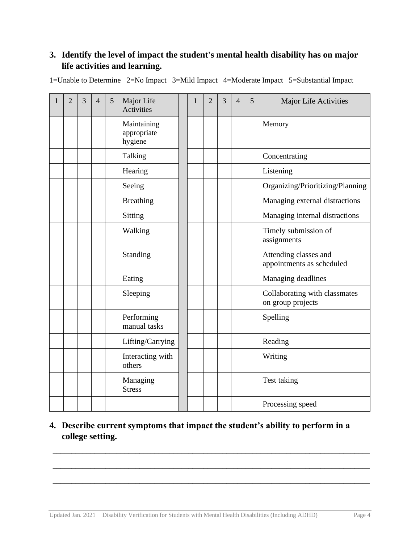### **3. Identify the level of impact the student's mental health disability has on major life activities and learning.**

| $\overline{2}$ | $\overline{3}$ | $\overline{4}$ | 5 | Major Life<br>Activities              | $\mathbf{1}$ | $\overline{2}$ | $\overline{3}$ | $\overline{4}$ | 5 | Major Life Activities                              |
|----------------|----------------|----------------|---|---------------------------------------|--------------|----------------|----------------|----------------|---|----------------------------------------------------|
|                |                |                |   | Maintaining<br>appropriate<br>hygiene |              |                |                |                |   | Memory                                             |
|                |                |                |   | Talking                               |              |                |                |                |   | Concentrating                                      |
|                |                |                |   | Hearing                               |              |                |                |                |   | Listening                                          |
|                |                |                |   | Seeing                                |              |                |                |                |   | Organizing/Prioritizing/Planning                   |
|                |                |                |   | <b>Breathing</b>                      |              |                |                |                |   | Managing external distractions                     |
|                |                |                |   | Sitting                               |              |                |                |                |   | Managing internal distractions                     |
|                |                |                |   | Walking                               |              |                |                |                |   | Timely submission of<br>assignments                |
|                |                |                |   | Standing                              |              |                |                |                |   | Attending classes and<br>appointments as scheduled |
|                |                |                |   | Eating                                |              |                |                |                |   | Managing deadlines                                 |
|                |                |                |   | Sleeping                              |              |                |                |                |   | Collaborating with classmates<br>on group projects |
|                |                |                |   | Performing<br>manual tasks            |              |                |                |                |   | Spelling                                           |
|                |                |                |   | Lifting/Carrying                      |              |                |                |                |   | Reading                                            |
|                |                |                |   | Interacting with<br>others            |              |                |                |                |   | Writing                                            |
|                |                |                |   | Managing<br><b>Stress</b>             |              |                |                |                |   | Test taking                                        |
|                |                |                |   |                                       |              |                |                |                |   | Processing speed                                   |

1=Unable to Determine 2=No Impact 3=Mild Impact 4=Moderate Impact 5=Substantial Impact

### **4. Describe current symptoms that impact the student's ability to perform in a college setting.**

\_\_\_\_\_\_\_\_\_\_\_\_\_\_\_\_\_\_\_\_\_\_\_\_\_\_\_\_\_\_\_\_\_\_\_\_\_\_\_\_\_\_\_\_\_\_\_\_\_\_\_\_\_\_\_\_\_\_\_\_\_\_\_\_\_\_\_\_\_\_\_\_\_\_\_\_\_\_\_\_\_\_\_\_

\_\_\_\_\_\_\_\_\_\_\_\_\_\_\_\_\_\_\_\_\_\_\_\_\_\_\_\_\_\_\_\_\_\_\_\_\_\_\_\_\_\_\_\_\_\_\_\_\_\_\_\_\_\_\_\_\_\_\_\_\_\_\_\_\_\_\_\_\_\_\_\_\_\_\_\_\_\_\_\_\_\_\_\_

\_\_\_\_\_\_\_\_\_\_\_\_\_\_\_\_\_\_\_\_\_\_\_\_\_\_\_\_\_\_\_\_\_\_\_\_\_\_\_\_\_\_\_\_\_\_\_\_\_\_\_\_\_\_\_\_\_\_\_\_\_\_\_\_\_\_\_\_\_\_\_\_\_\_\_\_\_\_\_\_\_\_\_\_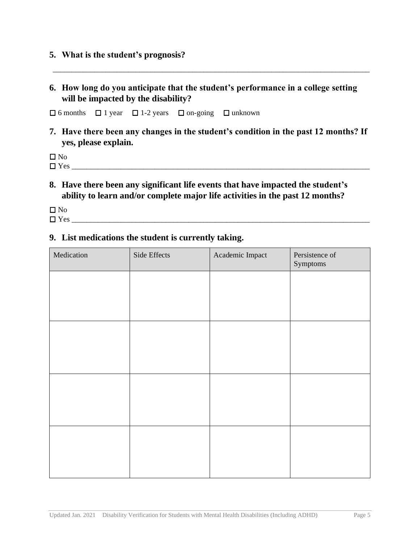#### **5. What is the student's prognosis?**

**6. How long do you anticipate that the student's performance in a college setting will be impacted by the disability?** 

\_\_\_\_\_\_\_\_\_\_\_\_\_\_\_\_\_\_\_\_\_\_\_\_\_\_\_\_\_\_\_\_\_\_\_\_\_\_\_\_\_\_\_\_\_\_\_\_\_\_\_\_\_\_\_\_\_\_\_\_\_\_\_\_\_\_\_\_\_\_\_\_\_\_\_\_\_\_\_\_\_\_\_\_

 $\Box$  6 months  $\Box$  1 year  $\Box$  1-2 years  $\Box$  on-going  $\Box$  unknown

**7. Have there been any changes in the student's condition in the past 12 months? If yes, please explain.** 

 $\Box$  No

 $\Box$  Yes

**8. Have there been any significant life events that have impacted the student's ability to learn and/or complete major life activities in the past 12 months?** 

 $\square$  No

 $\Box$  Yes

#### **9. List medications the student is currently taking.**

| Medication | Side Effects | Academic Impact | Persistence of<br>Symptoms |
|------------|--------------|-----------------|----------------------------|
|            |              |                 |                            |
|            |              |                 |                            |
|            |              |                 |                            |
|            |              |                 |                            |
|            |              |                 |                            |
|            |              |                 |                            |
|            |              |                 |                            |
|            |              |                 |                            |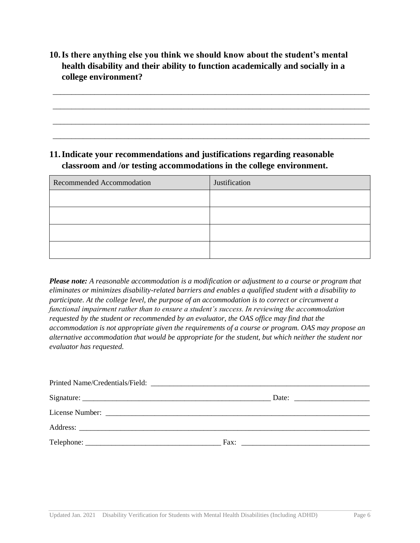**10.Is there anything else you think we should know about the student's mental health disability and their ability to function academically and socially in a college environment?** 

\_\_\_\_\_\_\_\_\_\_\_\_\_\_\_\_\_\_\_\_\_\_\_\_\_\_\_\_\_\_\_\_\_\_\_\_\_\_\_\_\_\_\_\_\_\_\_\_\_\_\_\_\_\_\_\_\_\_\_\_\_\_\_\_\_\_\_\_\_\_\_\_\_\_\_\_\_\_\_\_\_\_\_\_

\_\_\_\_\_\_\_\_\_\_\_\_\_\_\_\_\_\_\_\_\_\_\_\_\_\_\_\_\_\_\_\_\_\_\_\_\_\_\_\_\_\_\_\_\_\_\_\_\_\_\_\_\_\_\_\_\_\_\_\_\_\_\_\_\_\_\_\_\_\_\_\_\_\_\_\_\_\_\_\_\_\_\_\_

\_\_\_\_\_\_\_\_\_\_\_\_\_\_\_\_\_\_\_\_\_\_\_\_\_\_\_\_\_\_\_\_\_\_\_\_\_\_\_\_\_\_\_\_\_\_\_\_\_\_\_\_\_\_\_\_\_\_\_\_\_\_\_\_\_\_\_\_\_\_\_\_\_\_\_\_\_\_\_\_\_\_\_\_

\_\_\_\_\_\_\_\_\_\_\_\_\_\_\_\_\_\_\_\_\_\_\_\_\_\_\_\_\_\_\_\_\_\_\_\_\_\_\_\_\_\_\_\_\_\_\_\_\_\_\_\_\_\_\_\_\_\_\_\_\_\_\_\_\_\_\_\_\_\_\_\_\_\_\_\_\_\_\_\_\_\_\_\_

#### **11.Indicate your recommendations and justifications regarding reasonable classroom and /or testing accommodations in the college environment.**

| Recommended Accommodation | Justification |  |  |  |  |
|---------------------------|---------------|--|--|--|--|
|                           |               |  |  |  |  |
|                           |               |  |  |  |  |
|                           |               |  |  |  |  |
|                           |               |  |  |  |  |

*Please note: A reasonable accommodation is a modification or adjustment to a course or program that eliminates or minimizes disability-related barriers and enables a qualified student with a disability to participate. At the college level, the purpose of an accommodation is to correct or circumvent a functional impairment rather than to ensure a student's success. In reviewing the accommodation requested by the student or recommended by an evaluator, the OAS office may find that the accommodation is not appropriate given the requirements of a course or program. OAS may propose an alternative accommodation that would be appropriate for the student, but which neither the student nor evaluator has requested.*

| Fax:<br><u> 1980 - Andrea Andrew Maria (h. 1980).</u> |
|-------------------------------------------------------|